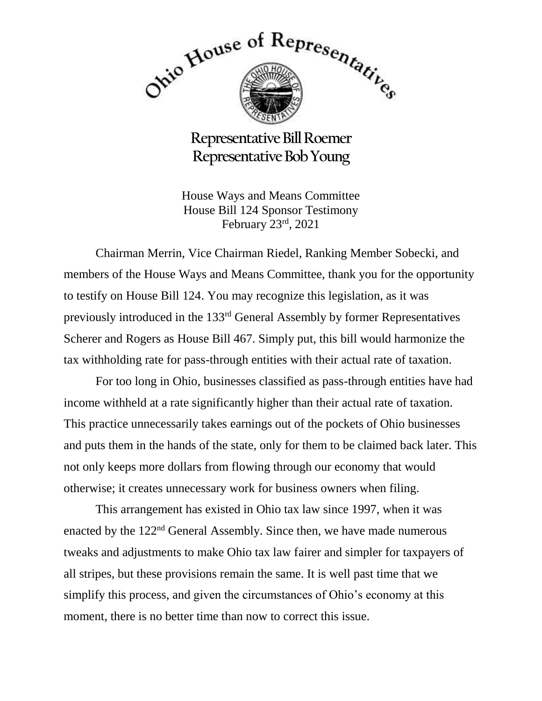

**Representative Bill Roemer Representative Bob Young**

House Ways and Means Committee House Bill 124 Sponsor Testimony February 23rd, 2021

Chairman Merrin, Vice Chairman Riedel, Ranking Member Sobecki, and members of the House Ways and Means Committee, thank you for the opportunity to testify on House Bill 124. You may recognize this legislation, as it was previously introduced in the 133rd General Assembly by former Representatives Scherer and Rogers as House Bill 467. Simply put, this bill would harmonize the tax withholding rate for pass-through entities with their actual rate of taxation.

For too long in Ohio, businesses classified as pass-through entities have had income withheld at a rate significantly higher than their actual rate of taxation. This practice unnecessarily takes earnings out of the pockets of Ohio businesses and puts them in the hands of the state, only for them to be claimed back later. This not only keeps more dollars from flowing through our economy that would otherwise; it creates unnecessary work for business owners when filing.

This arrangement has existed in Ohio tax law since 1997, when it was enacted by the 122nd General Assembly. Since then, we have made numerous tweaks and adjustments to make Ohio tax law fairer and simpler for taxpayers of all stripes, but these provisions remain the same. It is well past time that we simplify this process, and given the circumstances of Ohio's economy at this moment, there is no better time than now to correct this issue.